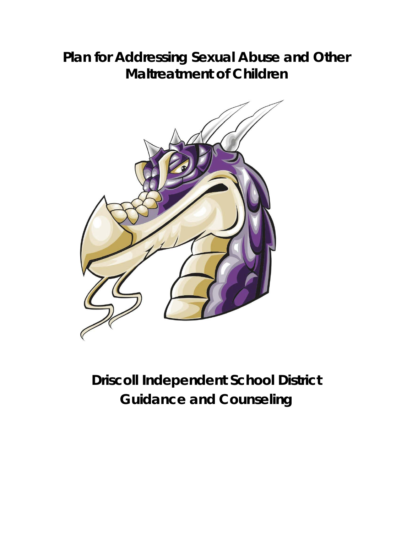# **Plan for Addressing Sexual Abuse and Other Maltreatment of Children**



# **Driscoll Independent School District Guidance and Counseling**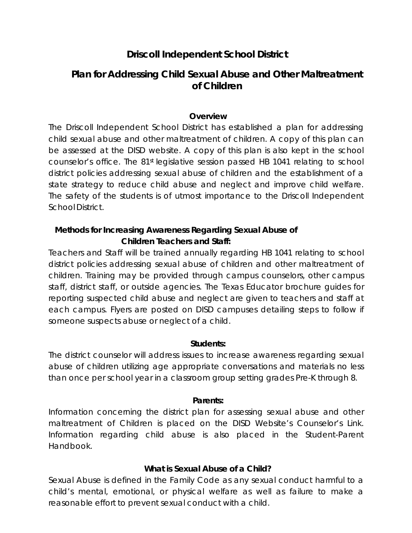# **Driscoll Independent School District**

# **Plan for Addressing Child Sexual Abuse and Other Maltreatment of Children**

#### **Overview**

The Driscoll Independent School District has established a plan for addressing child sexual abuse and other maltreatment of children. A copy of this plan can be assessed at the DISD website. A copy of this plan is also kept in the school counselor's office. The 81st legislative session passed HB 1041 relating to school district policies addressing sexual abuse of children and the establishment of a state strategy to reduce child abuse and neglect and improve child welfare. The safety of the students is of utmost importance to the Driscoll Independent School District.

# **Methods for Increasing Awareness Regarding Sexual Abuse of Children Teachers and Staff:**

Teachers and Staff will be trained annually regarding HB 1041 relating to school district policies addressing sexual abuse of children and other maltreatment of children. Training may be provided through campus counselors, other campus staff, district staff, or outside agencies. The Texas Educator brochure guides for reporting suspected child abuse and neglect are given to teachers and staff at each campus. Flyers are posted on DISD campuses detailing steps to follow if someone suspects abuse or neglect of a child.

# **Students:**

The district counselor will address issues to increase awareness regarding sexual abuse of children utilizing age appropriate conversations and materials no less than once per school year in a classroom group setting grades Pre-K through 8.

# **Parents:**

Information concerning the district plan for assessing sexual abuse and other maltreatment of Children is placed on the DISD Website's Counselor's Link. Information regarding child abuse is also placed in the Student-Parent Handbook.

# **What is Sexual Abuse of a Child?**

Sexual Abuse is defined in the Family Code as any sexual conduct harmful to a child's mental, emotional, or physical welfare as well as failure to make a reasonable effort to prevent sexual conduct with a child.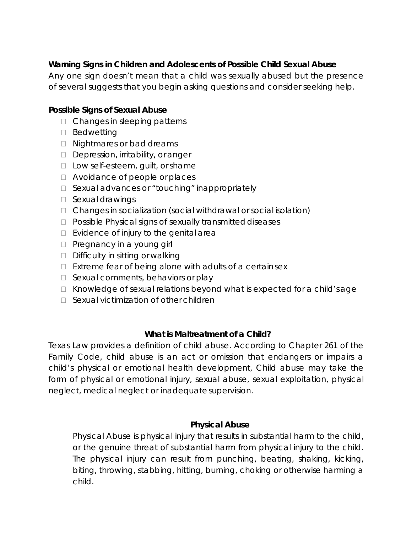# **Warning Signs in Children and Adolescents of Possible Child Sexual Abuse**

Any one sign doesn't mean that a child was sexually abused but the presence of several suggests that you begin asking questions and consider seeking help.

# **Possible Signs of Sexual Abuse**

- □ Changes in sleeping patterns
- D Bedwetting
- □ Nightmares or bad dreams
- Depression, irritability, or anger
- $\Box$  Low self-esteem, guilt, or shame
- □ Avoidance of people or places
- $\Box$  Sexual advances or "touching" inappropriately
- □ Sexual drawings
- □ Changes in socialization (social withdrawal or social isolation)
- $\Box$  Possible Physical signs of sexually transmitted diseases
- $\Box$  Evidence of injury to the genital area
- $\Box$  Pregnancy in a young girl
- $\Box$  Difficulty in sitting or walking
- $\Box$  Extreme fear of being alone with adults of a certain sex
- $\Box$  Sexual comments, behaviors or play
- $\Box$  Knowledge of sexual relations beyond what is expected for a child's age
- $\Box$  Sexual victimization of other children

# **What is Maltreatment of a Child?**

Texas Law provides a definition of child abuse. According to Chapter 261 of the Family Code, child abuse is an act or omission that endangers or impairs a child's physical or emotional health development, Child abuse may take the form of physical or emotional injury, sexual abuse, sexual exploitation, physical neglect, medical neglect or inadequate supervision.

# **Physical Abuse**

Physical Abuse is physical injury that results in substantial harm to the child, or the genuine threat of substantial harm from physical injury to the child. The physical injury can result from punching, beating, shaking, kicking, biting, throwing, stabbing, hitting, burning, choking or otherwise harming a child.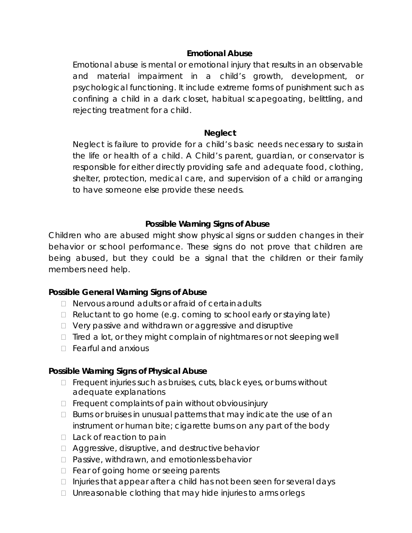# **Emotional Abuse**

Emotional abuse is mental or emotional injury that results in an observable and material impairment in a child's growth, development, or psychological functioning. It include extreme forms of punishment such as confining a child in a dark closet, habitual scapegoating, belittling, and rejecting treatment for a child.

# **Neglect**

Neglect is failure to provide for a child's basic needs necessary to sustain the life or health of a child. A Child's parent, guardian, or conservator is responsible for either directly providing safe and adequate food, clothing, shelter, protection, medical care, and supervision of a child or arranging to have someone else provide these needs.

# **Possible Warning Signs of Abuse**

Children who are abused might show physical signs or sudden changes in their behavior or school performance. These signs do not prove that children are being abused, but they could be a signal that the children or their family members need help.

# **Possible General Warning Signs of Abuse**

- $\Box$  Nervous around adults or afraid of certain adults
- $\Box$  Reluctant to go home (e.g. coming to school early or staying late)
- $\Box$  Very passive and withdrawn or aggressive and disruptive
- $\Box$  Tired a lot, or they might complain of nightmares or not sleeping well
- $\Box$  Fearful and anxious

# **Possible Warning Signs of Physical Abuse**

- $\Box$  Frequent injuries such as bruises, cuts, black eyes, or burns without adequate explanations
- $\Box$  Frequent complaints of pain without obvious injury
- $\Box$  Burns or bruises in unusual patterns that may indicate the use of an instrument or human bite; cigarette burns on any part of the body
- $\Box$  Lack of reaction to pain
- $\Box$  Aggressive, disruptive, and destructive behavior
- □ Passive, withdrawn, and emotionless behavior
- $\Box$  Fear of going home or seeing parents
- $\Box$  Injuries that appear after a child has not been seen for several days
- $\Box$  Unreasonable clothing that may hide injuries to arms or legs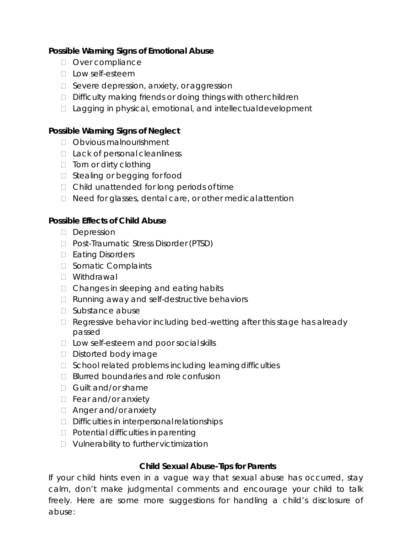# **Possible Warning Signs of Emotional Abuse**

- Over compliance
- $\Box$  Low self-esteem
- □ Severe depression, anxiety, or aggression
- $\Box$  Difficulty making friends or doing things with other children
- $\Box$  Lagging in physical, emotional, and intellectual development

# **Possible Warning Signs of Neglect**

- □ Obvious malnourishment
- □ Lack of personal cleanliness
- $\Box$  Torn or dirty clothing
- □ Stealing or begging for food
- $\Box$  Child unattended for long periods of time
- D Need for glasses, dental care, or other medical attention

# **Possible Effects of Child Abuse**

- Depression
- □ Post-Traumatic Stress Disorder (PTSD)
- □ Eating Disorders
- □ Somatic Complaints
- Withdrawal
- $\Box$  Changes in sleeping and eating habits
- $\Box$  Running away and self-destructive behaviors
- $\Box$  Substance abuse
- □ Regressive behavior including bed-wetting after this stage has already passed
- □ Low self-esteem and poor social skills
- Distorted body image
- □ School related problems including learning difficulties
- □ Blurred boundaries and role confusion
- Guilt and/or shame
- $\Box$  Fear and/or anxiety
- □ Anger and/or anxiety
- $\Box$  Difficulties in interpersonal relationships
- $\Box$  Potential difficulties in parenting
- Vulnerability to further victimization

# **Child Sexual Abuse-Tips for Parents**

If your child hints even in a vague way that sexual abuse has occurred, stay calm, don't make judgmental comments and encourage your child to talk freely. Here are some more suggestions for handling a child's disclosure of abuse: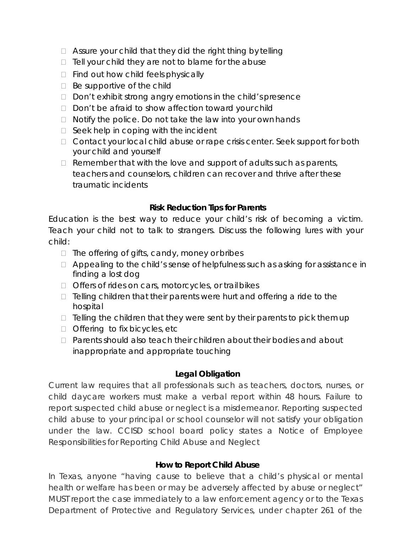- $\Box$  Assure your child that they did the right thing by telling
- $\Box$  Tell your child they are not to blame for the abuse
- $\Box$  Find out how child feels physically
- $\Box$  Be supportive of the child
- D Don't exhibit strong angry emotions in the child's presence
- $\Box$  Don't be afraid to show affection toward your child
- $\Box$  Notify the police. Do not take the law into your own hands
- $\Box$  Seek help in coping with the incident
- □ Contact your local child abuse or rape crisis center. Seek support for both your child and yourself
- $\Box$  Remember that with the love and support of adults such as parents, teachers and counselors, children can recover and thrive after these traumatic incidents

# **Risk Reduction Tips for Parents**

Education is the best way to reduce your child's risk of becoming a victim. Teach your child not to talk to strangers. Discuss the following lures with your child:

- $\Box$  The offering of gifts, candy, money or bribes
- $\Box$  Appealing to the child's sense of helpfulness such as asking for assistance in finding a lost dog
- □ Offers of rides on cars, motorcycles, or trail bikes
- $\Box$  Telling children that their parents were hurt and offering a ride to the hospital
- $\Box$  Telling the children that they were sent by their parents to pick them up
- $\Box$  Offering to fix bicycles, etc
- □ Parents should also teach their children about their bodies and about inappropriate and appropriate touching

# **Legal Obligation**

Current law requires that all professionals such as teachers, doctors, nurses, or child daycare workers must make a verbal report within 48 hours. Failure to report suspected child abuse or neglect is a misdemeanor. Reporting suspected child abuse to your principal or school counselor will not satisfy your obligation under the law. CCISD school board policy states a Notice of Employee Responsibilities for Reporting Child Abuse and Neglect

# **How to Report Child Abuse**

In Texas, anyone "having cause to believe that a child's physical or mental health or welfare has been or may be adversely affected by abuse or neglect" MUST report the case immediately to a law enforcement agency or to the Texas Department of Protective and Regulatory Services, under chapter 261 of the